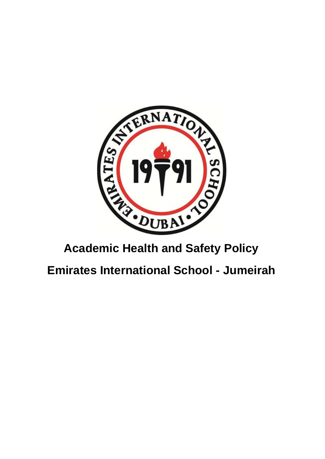

# **Academic Health and Safety Policy**

**Emirates International School - Jumeirah**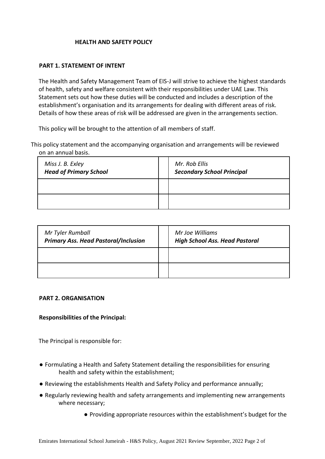### **HEALTH AND SAFETY POLICY**

### **PART 1. STATEMENT OF INTENT**

The Health and Safety Management Team of EIS-J will strive to achieve the highest standards of health, safety and welfare consistent with their responsibilities under UAE Law. This Statement sets out how these duties will be conducted and includes a description of the establishment's organisation and its arrangements for dealing with different areas of risk. Details of how these areas of risk will be addressed are given in the arrangements section.

This policy will be brought to the attention of all members of staff.

This policy statement and the accompanying organisation and arrangements will be reviewed on an annual basis.

| Miss J. B. Exley<br><b>Head of Primary School</b> | Mr. Rob Ellis<br><b>Secondary School Principal</b> |
|---------------------------------------------------|----------------------------------------------------|
|                                                   |                                                    |
|                                                   |                                                    |

| Mr Tyler Rumball<br><b>Primary Ass. Head Pastoral/Inclusion</b> | Mr Joe Williams<br><b>High School Ass. Head Pastoral</b> |
|-----------------------------------------------------------------|----------------------------------------------------------|
|                                                                 |                                                          |
|                                                                 |                                                          |

#### **PART 2. ORGANISATION**

### **Responsibilities of the Principal:**

The Principal is responsible for:

- Formulating a Health and Safety Statement detailing the responsibilities for ensuring health and safety within the establishment;
- Reviewing the establishments Health and Safety Policy and performance annually;
- Regularly reviewing health and safety arrangements and implementing new arrangements where necessary;
	- Providing appropriate resources within the establishment's budget for the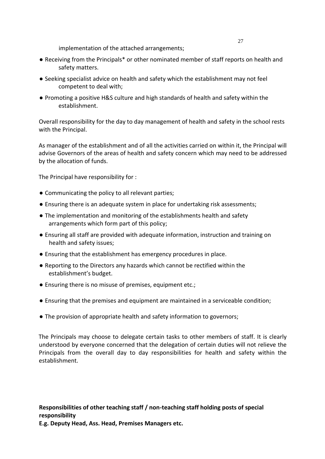implementation of the attached arrangements;

- Receiving from the Principals\* or other nominated member of staff reports on health and safety matters.
- Seeking specialist advice on health and safety which the establishment may not feel competent to deal with;
- Promoting a positive H&S culture and high standards of health and safety within the establishment.

Overall responsibility for the day to day management of health and safety in the school rests with the Principal.

As manager of the establishment and of all the activities carried on within it, the Principal will advise Governors of the areas of health and safety concern which may need to be addressed by the allocation of funds.

The Principal have responsibility for :

- Communicating the policy to all relevant parties;
- Ensuring there is an adequate system in place for undertaking risk assessments;
- The implementation and monitoring of the establishments health and safety arrangements which form part of this policy;
- Ensuring all staff are provided with adequate information, instruction and training on health and safety issues;
- Ensuring that the establishment has emergency procedures in place.
- Reporting to the Directors any hazards which cannot be rectified within the establishment's budget.
- Ensuring there is no misuse of premises, equipment etc.;
- Ensuring that the premises and equipment are maintained in a serviceable condition;
- The provision of appropriate health and safety information to governors;

The Principals may choose to delegate certain tasks to other members of staff. It is clearly understood by everyone concerned that the delegation of certain duties will not relieve the Principals from the overall day to day responsibilities for health and safety within the establishment.

**Responsibilities of other teaching staff / non-teaching staff holding posts of special responsibility** 

**E.g. Deputy Head, Ass. Head, Premises Managers etc.**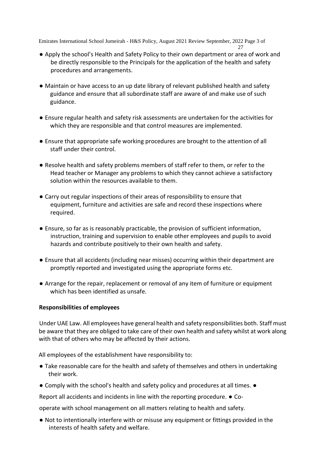- 27 ● Apply the school's Health and Safety Policy to their own department or area of work and be directly responsible to the Principals for the application of the health and safety procedures and arrangements.
- Maintain or have access to an up date library of relevant published health and safety guidance and ensure that all subordinate staff are aware of and make use of such guidance.
- Ensure regular health and safety risk assessments are undertaken for the activities for which they are responsible and that control measures are implemented.
- Ensure that appropriate safe working procedures are brought to the attention of all staff under their control.
- Resolve health and safety problems members of staff refer to them, or refer to the Head teacher or Manager any problems to which they cannot achieve a satisfactory solution within the resources available to them.
- Carry out regular inspections of their areas of responsibility to ensure that equipment, furniture and activities are safe and record these inspections where required.
- Ensure, so far as is reasonably practicable, the provision of sufficient information, instruction, training and supervision to enable other employees and pupils to avoid hazards and contribute positively to their own health and safety.
- Ensure that all accidents (including near misses) occurring within their department are promptly reported and investigated using the appropriate forms etc.
- Arrange for the repair, replacement or removal of any item of furniture or equipment which has been identified as unsafe.

### **Responsibilities of employees**

Under UAE Law. All employees have general health and safety responsibilities both. Staff must be aware that they are obliged to take care of their own health and safety whilst at work along with that of others who may be affected by their actions.

All employees of the establishment have responsibility to:

- Take reasonable care for the health and safety of themselves and others in undertaking their work.
- Comply with the school's health and safety policy and procedures at all times. ●

Report all accidents and incidents in line with the reporting procedure. ● Co-

operate with school management on all matters relating to health and safety.

● Not to intentionally interfere with or misuse any equipment or fittings provided in the interests of health safety and welfare.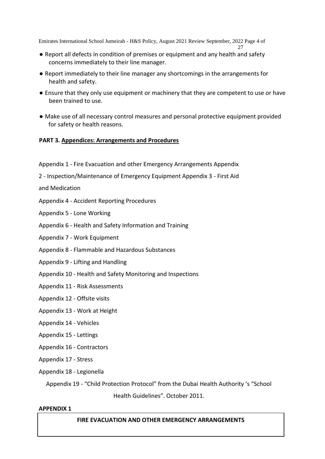- 27 ● Report all defects in condition of premises or equipment and any health and safety concerns immediately to their line manager.
- Report immediately to their line manager any shortcomings in the arrangements for health and safety.
- Ensure that they only use equipment or machinery that they are competent to use or have been trained to use.
- Make use of all necessary control measures and personal protective equipment provided for safety or health reasons.

### **PART 3. Appendices: Arrangements and Procedures**

- Appendix 1 Fire Evacuation and other Emergency Arrangements Appendix
- 2 Inspection/Maintenance of Emergency Equipment Appendix 3 First Aid

and Medication

- Appendix 4 Accident Reporting Procedures
- Appendix 5 Lone Working
- Appendix 6 Health and Safety Information and Training
- Appendix 7 Work Equipment
- Appendix 8 Flammable and Hazardous Substances
- Appendix 9 Lifting and Handling
- Appendix 10 Health and Safety Monitoring and Inspections
- Appendix 11 Risk Assessments
- Appendix 12 Offsite visits
- Appendix 13 Work at Height
- Appendix 14 Vehicles
- Appendix 15 Lettings
- Appendix 16 Contractors
- Appendix 17 Stress
- Appendix 18 Legionella

Appendix 19 - "Child Protection Protocol" from the Dubai Health Authority 's "School

Health Guidelines". October 2011.

#### **APPENDIX 1**

### **FIRE EVACUATION AND OTHER EMERGENCY ARRANGEMENTS**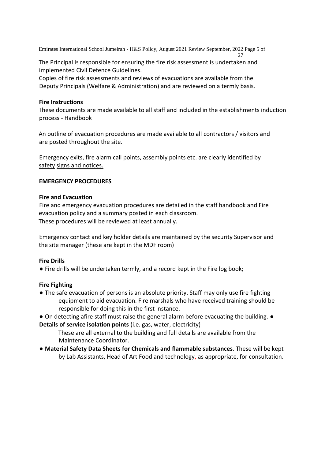The Principal is responsible for ensuring the fire risk assessment is undertaken and implemented Civil Defence Guidelines.

Copies of fire risk assessments and reviews of evacuations are available from the Deputy Principals (Welfare & Administration) and are reviewed on a termly basis.

### **Fire Instructions**

These documents are made available to all staff and included in the establishments induction process - Handbook

An outline of evacuation procedures are made available to all contractors / visitors and are posted throughout the site.

Emergency exits, fire alarm call points, assembly points etc. are clearly identified by safety signs and notices.

### **EMERGENCY PROCEDURES**

### **Fire and Evacuation**

Fire and emergency evacuation procedures are detailed in the staff handbook and Fire evacuation policy and a summary posted in each classroom. These procedures will be reviewed at least annually.

Emergency contact and key holder details are maintained by the security Supervisor and the site manager (these are kept in the MDF room)

### **Fire Drills**

● Fire drills will be undertaken termly, and a record kept in the Fire log book;

# **Fire Fighting**

- The safe evacuation of persons is an absolute priority. Staff may only use fire fighting equipment to aid evacuation. Fire marshals who have received training should be responsible for doing this in the first instance.
- On detecting afire staff must raise the general alarm before evacuating the building. ●

**Details of service isolation points** (i.e. gas, water, electricity)

These are all external to the building and full details are available from the Maintenance Coordinator.

*●* **Material Safety Data Sheets for Chemicals and flammable substances**. These will be kept by Lab Assistants, Head of Art Food and technology, as appropriate, for consultation.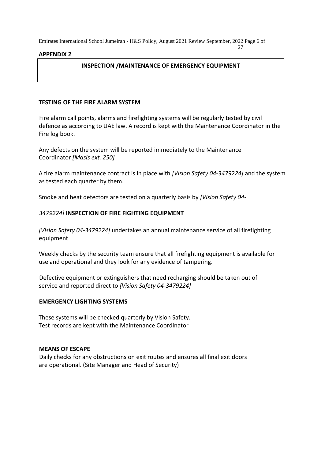#### **APPENDIX 2**

### **INSPECTION /MAINTENANCE OF EMERGENCY EQUIPMENT**

27

### **TESTING OF THE FIRE ALARM SYSTEM**

Fire alarm call points, alarms and firefighting systems will be regularly tested by civil defence as according to UAE law. A record is kept with the Maintenance Coordinator in the Fire log book.

Any defects on the system will be reported immediately to the Maintenance Coordinator *[Masis ext. 250]* 

A fire alarm maintenance contract is in place with *[Vision Safety 04-3479224]* and the system as tested each quarter by them.

Smoke and heat detectors are tested on a quarterly basis by *[Vision Safety 04-*

### *3479224]* **INSPECTION OF FIRE FIGHTING EQUIPMENT**

*[Vision Safety 04-3479224]* undertakes an annual maintenance service of all firefighting equipment

Weekly checks by the security team ensure that all firefighting equipment is available for use and operational and they look for any evidence of tampering.

Defective equipment or extinguishers that need recharging should be taken out of service and reported direct to *[Vision Safety 04-3479224]* 

#### **EMERGENCY LIGHTING SYSTEMS**

These systems will be checked quarterly by Vision Safety. Test records are kept with the Maintenance Coordinator

#### **MEANS OF ESCAPE**

Daily checks for any obstructions on exit routes and ensures all final exit doors are operational. (Site Manager and Head of Security)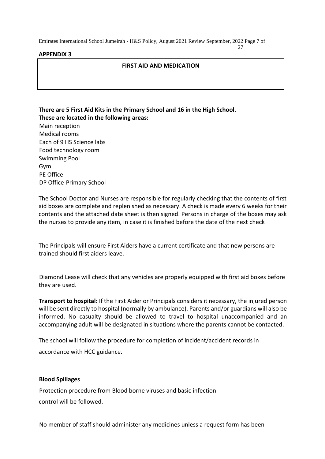### **APPENDIX 3**

### **FIRST AID AND MEDICATION**

**There are 5 First Aid Kits in the Primary School and 16 in the High School. These are located in the following areas:**  Main reception Medical rooms Each of 9 HS Science labs Food technology room Swimming Pool Gym PE Office DP Office-Primary School

The School Doctor and Nurses are responsible for regularly checking that the contents of first aid boxes are complete and replenished as necessary. A check is made every 6 weeks for their contents and the attached date sheet is then signed. Persons in charge of the boxes may ask the nurses to provide any item, in case it is finished before the date of the next check

The Principals will ensure First Aiders have a current certificate and that new persons are trained should first aiders leave.

Diamond Lease will check that any vehicles are properly equipped with first aid boxes before they are used.

**Transport to hospital:** If the First Aider or Principals considers it necessary, the injured person will be sent directly to hospital (normally by ambulance). Parents and/or guardians will also be informed. No casualty should be allowed to travel to hospital unaccompanied and an accompanying adult will be designated in situations where the parents cannot be contacted.

The school will follow the procedure for completion of incident/accident records in accordance with HCC guidance.

### **Blood Spillages**

Protection procedure from Blood borne viruses and basic infection control will be followed.

No member of staff should administer any medicines unless a request form has been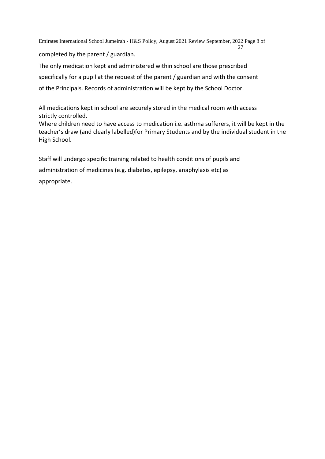Emirates International School Jumeirah - H&S Policy, August 2021 Review September, 2022 Page 8 of 27 completed by the parent / guardian.

The only medication kept and administered within school are those prescribed specifically for a pupil at the request of the parent / guardian and with the consent of the Principals. Records of administration will be kept by the School Doctor.

All medications kept in school are securely stored in the medical room with access strictly controlled.

Where children need to have access to medication i.e. asthma sufferers, it will be kept in the teacher's draw (and clearly labelled)for Primary Students and by the individual student in the High School.

Staff will undergo specific training related to health conditions of pupils and administration of medicines (e.g. diabetes, epilepsy, anaphylaxis etc) as appropriate.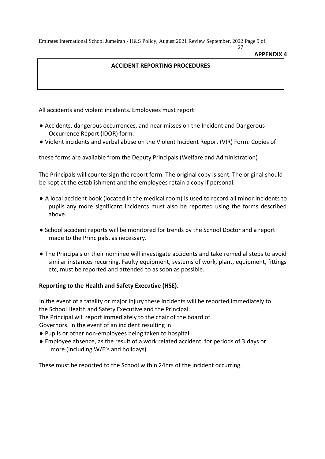**APPENDIX 4** 

27

# **ACCIDENT REPORTING PROCEDURES**

All accidents and violent incidents. Employees must report:

- Accidents, dangerous occurrences, and near misses on the Incident and Dangerous Occurrence Report (IDOR) form.
- Violent incidents and verbal abuse on the Violent Incident Report (VIR) Form. Copies of

these forms are available from the Deputy Principals (Welfare and Administration)

The Principals will countersign the report form. The original copy is sent. The original should be kept at the establishment and the employees retain a copy if personal.

- A local accident book (located in the medical room) is used to record all minor incidents to pupils any more significant incidents must also be reported using the forms described above.
- School accident reports will be monitored for trends by the School Doctor and a report made to the Principals, as necessary.
- The Principals or their nominee will investigate accidents and take remedial steps to avoid similar instances recurring. Faulty equipment, systems of work, plant, equipment, fittings etc, must be reported and attended to as soon as possible.

### **Reporting to the Health and Safety Executive (HSE).**

In the event of a fatality or major injury these incidents will be reported immediately to the School Health and Safety Executive and the Principal The Principal will report immediately to the chair of the board of Governors. In the event of an incident resulting in

- Pupils or other non-employees being taken to hospital
- Employee absence, as the result of a work related accident, for periods of 3 days or more (including W/E's and holidays)

These must be reported to the School within 24hrs of the incident occurring.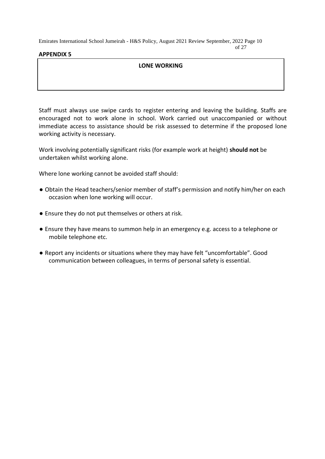of 27

# **APPENDIX 5**

# **LONE WORKING**

Staff must always use swipe cards to register entering and leaving the building. Staffs are encouraged not to work alone in school. Work carried out unaccompanied or without immediate access to assistance should be risk assessed to determine if the proposed lone working activity is necessary.

Work involving potentially significant risks (for example work at height) **should not** be undertaken whilst working alone.

Where lone working cannot be avoided staff should:

- Obtain the Head teachers/senior member of staff's permission and notify him/her on each occasion when lone working will occur.
- Ensure they do not put themselves or others at risk.
- Ensure they have means to summon help in an emergency e.g. access to a telephone or mobile telephone etc.
- Report any incidents or situations where they may have felt "uncomfortable". Good communication between colleagues, in terms of personal safety is essential.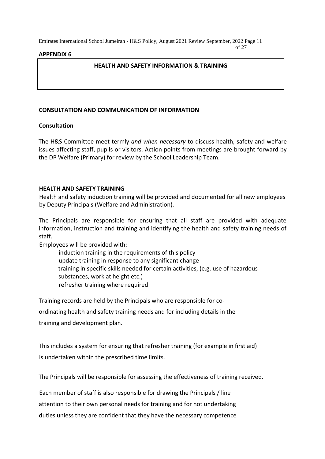of 27

### **APPENDIX 6**

### **HEALTH AND SAFETY INFORMATION & TRAINING**

### **CONSULTATION AND COMMUNICATION OF INFORMATION**

### **Consultation**

The H&S Committee meet termly *and when necessary* to discuss health, safety and welfare issues affecting staff, pupils or visitors. Action points from meetings are brought forward by the DP Welfare (Primary) for review by the School Leadership Team.

### **HEALTH AND SAFETY TRAINING**

Health and safety induction training will be provided and documented for all new employees by Deputy Principals (Welfare and Administration).

The Principals are responsible for ensuring that all staff are provided with adequate information, instruction and training and identifying the health and safety training needs of staff.

Employees will be provided with:

induction training in the requirements of this policy update training in response to any significant change training in specific skills needed for certain activities, (e.g. use of hazardous substances, work at height etc.) refresher training where required

Training records are held by the Principals who are responsible for co-

ordinating health and safety training needs and for including details in the

training and development plan.

This includes a system for ensuring that refresher training (for example in first aid) is undertaken within the prescribed time limits.

The Principals will be responsible for assessing the effectiveness of training received.

Each member of staff is also responsible for drawing the Principals / line

attention to their own personal needs for training and for not undertaking

duties unless they are confident that they have the necessary competence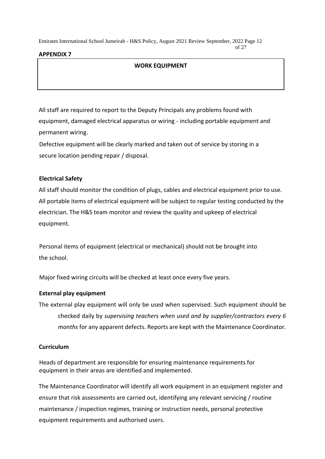#### of 27

# **APPENDIX 7**

# **WORK EQUIPMENT**

All staff are required to report to the Deputy Principals any problems found with equipment, damaged electrical apparatus or wiring - including portable equipment and permanent wiring.

Defective equipment will be clearly marked and taken out of service by storing in a secure location pending repair / disposal.

# **Electrical Safety**

All staff should monitor the condition of plugs, cables and electrical equipment prior to use. All portable items of electrical equipment will be subject to regular testing conducted by the electrician. The H&S team monitor and review the quality and upkeep of electrical equipment.

Personal items of equipment (electrical or mechanical) should not be brought into the school.

Major fixed wiring circuits will be checked at least once every five years.

# **External play equipment**

The external play equipment will only be used when supervised. Such equipment should be checked daily by *supervising teachers when used and by supplier/contractors every 6 months* for any apparent defects. Reports are kept with the Maintenance Coordinator.

# **Curriculum**

Heads of department are responsible for ensuring maintenance requirements for equipment in their areas are identified and implemented.

The Maintenance Coordinator will identify all work equipment in an equipment register and ensure that risk assessments are carried out, identifying any relevant servicing / routine maintenance / inspection regimes, training or instruction needs, personal protective equipment requirements and authorised users.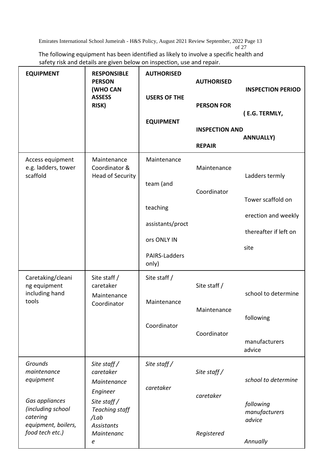The following equipment has been identified as likely to involve a specific health and safety risk and details are given below on inspection, use and repair.

| <b>EQUIPMENT</b>                                                                                              | <b>RESPONSIBLE</b><br><b>PERSON</b><br>(WHO CAN<br><b>ASSESS</b><br>RISK)                                                                           | <b>AUTHORISED</b><br><b>USERS OF THE</b><br><b>EQUIPMENT</b> | <b>AUTHORISED</b><br><b>PERSON FOR</b> | <b>INSPECTION PERIOD</b><br>(E.G. TERMLY, |
|---------------------------------------------------------------------------------------------------------------|-----------------------------------------------------------------------------------------------------------------------------------------------------|--------------------------------------------------------------|----------------------------------------|-------------------------------------------|
|                                                                                                               |                                                                                                                                                     |                                                              | <b>INSPECTION AND</b>                  |                                           |
|                                                                                                               |                                                                                                                                                     |                                                              | <b>REPAIR</b>                          | <b>ANNUALLY)</b>                          |
| Access equipment<br>e.g. ladders, tower<br>scaffold                                                           | Maintenance<br>Coordinator &<br><b>Head of Security</b>                                                                                             | Maintenance                                                  | Maintenance                            | Ladders termly                            |
|                                                                                                               |                                                                                                                                                     | team (and                                                    | Coordinator                            |                                           |
|                                                                                                               |                                                                                                                                                     |                                                              |                                        | Tower scaffold on                         |
|                                                                                                               |                                                                                                                                                     | teaching                                                     |                                        | erection and weekly                       |
|                                                                                                               |                                                                                                                                                     | assistants/proct                                             |                                        | thereafter if left on                     |
|                                                                                                               |                                                                                                                                                     | ors ONLY IN                                                  |                                        | site                                      |
|                                                                                                               |                                                                                                                                                     | PAIRS-Ladders<br>only)                                       |                                        |                                           |
| Caretaking/cleani<br>ng equipment                                                                             | Site staff /<br>caretaker                                                                                                                           | Site staff /                                                 | Site staff /                           |                                           |
| including hand<br>tools                                                                                       | Maintenance                                                                                                                                         | Maintenance                                                  |                                        | school to determine                       |
|                                                                                                               | Coordinator                                                                                                                                         |                                                              | Maintenance                            |                                           |
|                                                                                                               |                                                                                                                                                     | Coordinator                                                  |                                        | following                                 |
|                                                                                                               |                                                                                                                                                     |                                                              | Coordinator                            | manufacturers                             |
|                                                                                                               |                                                                                                                                                     |                                                              |                                        | advice                                    |
| Grounds<br>maintenance<br>equipment<br>Gas appliances<br>(including school<br>catering<br>equipment, boilers, | Site staff $/$<br>caretaker<br>Maintenance<br>Engineer<br>Site staff $\overline{\phantom{a}}$<br><b>Teaching staff</b><br>/Lab<br><b>Assistants</b> | Site staff /                                                 | Site staff $/$                         |                                           |
|                                                                                                               |                                                                                                                                                     | caretaker                                                    |                                        | school to determine                       |
|                                                                                                               |                                                                                                                                                     |                                                              | caretaker                              |                                           |
|                                                                                                               |                                                                                                                                                     |                                                              |                                        | following<br>manufacturers<br>advice      |
| food tech etc.)                                                                                               | Maintenanc<br>e                                                                                                                                     |                                                              | Registered                             | Annually                                  |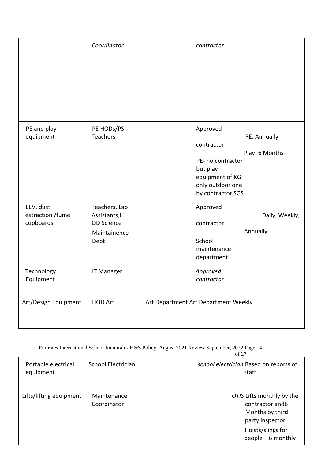|                                            | Coordinator                                                                 | contractor                                                                                                                                            |
|--------------------------------------------|-----------------------------------------------------------------------------|-------------------------------------------------------------------------------------------------------------------------------------------------------|
| PE and play<br>equipment                   | PE HODs/PS<br><b>Teachers</b>                                               | Approved<br>PE: Annually<br>contractor<br>Play: 6 Months<br>PE- no contractor<br>but play<br>equipment of KG<br>only outdoor one<br>by contractor SGS |
| LEV, dust<br>extraction /fume<br>cupboards | Teachers, Lab<br>Assistants, H<br><b>OD Science</b><br>Maintainence<br>Dept | Approved<br>Daily, Weekly,<br>contractor<br>Annually<br>School<br>maintenance<br>department                                                           |
| Technology<br>Equipment                    | <b>IT Manager</b>                                                           | Approved<br>contractor                                                                                                                                |
| Art/Design Equipment                       | <b>HOD Art</b>                                                              | Art Department Art Department Weekly                                                                                                                  |

| Portable electrical<br>equipment | School Electrician         | school electrician Based on reports of<br>staff                                                                                |
|----------------------------------|----------------------------|--------------------------------------------------------------------------------------------------------------------------------|
| Lifts/lifting equipment          | Maintenance<br>Coordinator | OTIS Lifts monthly by the<br>contractor and 6<br>Months by third<br>party inspector<br>Hoists/slings for<br>people - 6 monthly |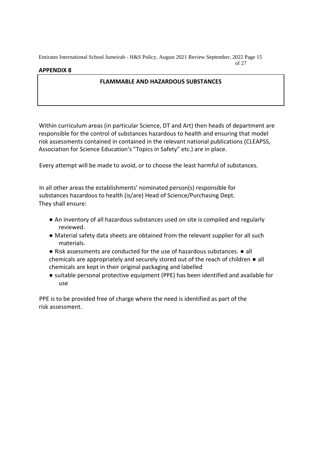### **APPENDIX 8**

### **FLAMMABLE AND HAZARDOUS SUBSTANCES**

Within curriculum areas (in particular Science, DT and Art) then heads of department are responsible for the control of substances hazardous to health and ensuring that model risk assessments contained in contained in the relevant national publications (CLEAPSS, Association for Science Education's "Topics in Safety" etc.) are in place.

Every attempt will be made to avoid, or to choose the least harmful of substances.

In all other areas the establishments' nominated person(s) responsible for substances hazardous to health (is/are) Head of Science/Purchasing Dept. They shall ensure:

- An inventory of all hazardous substances used on site is compiled and regularly reviewed.
- Material safety data sheets are obtained from the relevant supplier for all such materials.
- Risk assessments are conducted for the use of hazardous substances. all chemicals are appropriately and securely stored out of the reach of children ● all chemicals are kept in their original packaging and labelled
- suitable personal protective equipment (PPE) has been identified and available for use

PPE is to be provided free of charge where the need is identified as part of the risk assessment.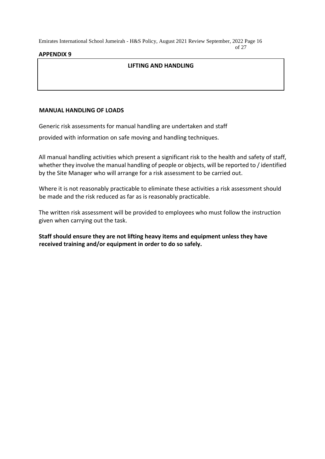of 27

### **APPENDIX 9**

### **LIFTING AND HANDLING**

### **MANUAL HANDLING OF LOADS**

Generic risk assessments for manual handling are undertaken and staff

provided with information on safe moving and handling techniques.

All manual handling activities which present a significant risk to the health and safety of staff, whether they involve the manual handling of people or objects, will be reported to / identified by the Site Manager who will arrange for a risk assessment to be carried out.

Where it is not reasonably practicable to eliminate these activities a risk assessment should be made and the risk reduced as far as is reasonably practicable.

The written risk assessment will be provided to employees who must follow the instruction given when carrying out the task.

**Staff should ensure they are not lifting heavy items and equipment unless they have received training and/or equipment in order to do so safely.**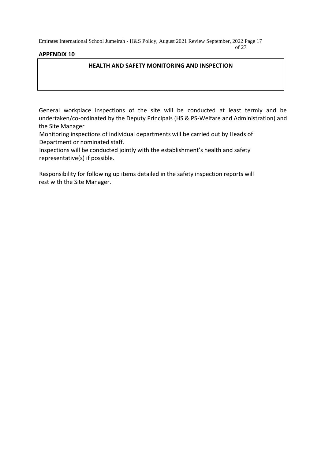# **APPENDIX 10**

### **HEALTH AND SAFETY MONITORING AND INSPECTION**

of 27

General workplace inspections of the site will be conducted at least termly and be undertaken/co-ordinated by the Deputy Principals (HS & PS-Welfare and Administration) and the Site Manager

Monitoring inspections of individual departments will be carried out by Heads of Department or nominated staff.

Inspections will be conducted jointly with the establishment's health and safety representative(s) if possible.

Responsibility for following up items detailed in the safety inspection reports will rest with the Site Manager.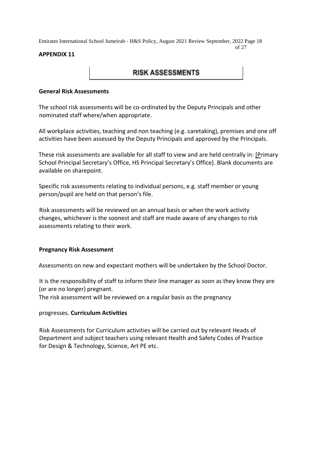#### of 27

### **APPENDIX 11**

# **RISK ASSESSMENTS**

### **General Risk Assessments**

The school risk assessments will be co-ordinated by the Deputy Principals and other nominated staff where/when appropriate.

All workplace activities, teaching and non teaching (e.g. caretaking), premises and one off activities have been assessed by the Deputy Principals and approved by the Principals.

These risk assessments are available for all staff to view and are held centrally in: [Primary School Principal Secretary's Office, HS Principal Secretary's Office]. Blank documents are available on sharepoint.

Specific risk assessments relating to individual persons, e.g. staff member or young person/pupil are held on that person's file.

Risk assessments will be reviewed on an annual basis or when the work activity changes, whichever is the soonest and staff are made aware of any changes to risk assessments relating to their work.

### **Pregnancy Risk Assessment**

Assessments on new and expectant mothers will be undertaken by the School Doctor.

It is the responsibility of staff to inform their line manager as soon as they know they are (or are no longer) pregnant.

The risk assessment will be reviewed on a regular basis as the pregnancy

### progresses. **Curriculum Activities**

Risk Assessments for Curriculum activities will be carried out by relevant Heads of Department and subject teachers using relevant Health and Safety Codes of Practice for Design & Technology, Science, Art PE etc.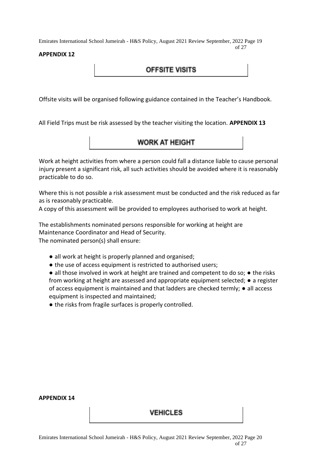### **APPENDIX 12**

Offsite visits will be organised following guidance contained in the Teacher's Handbook.

All Field Trips must be risk assessed by the teacher visiting the location. **APPENDIX 13** 

# **WORK AT HEIGHT**

**OFFSITE VISITS** 

Work at height activities from where a person could fall a distance liable to cause personal injury present a significant risk, all such activities should be avoided where it is reasonably practicable to do so.

Where this is not possible a risk assessment must be conducted and the risk reduced as far as is reasonably practicable.

A copy of this assessment will be provided to employees authorised to work at height.

The establishments nominated persons responsible for working at height are Maintenance Coordinator and Head of Security. The nominated person(s) shall ensure:

- all work at height is properly planned and organised;
- the use of access equipment is restricted to authorised users;

● all those involved in work at height are trained and competent to do so; ● the risks from working at height are assessed and appropriate equipment selected;  $\bullet$  a register of access equipment is maintained and that ladders are checked termly; ● all access equipment is inspected and maintained;

● the risks from fragile surfaces is properly controlled.

#### **APPENDIX 14**

### **VEHICLES**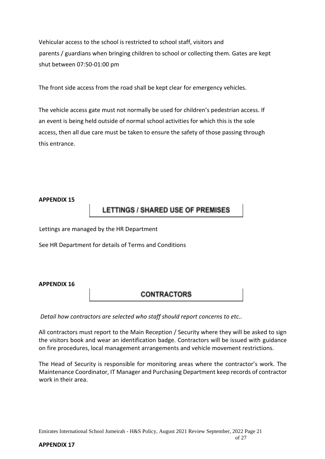Vehicular access to the school is restricted to school staff, visitors and parents / guardians when bringing children to school or collecting them. Gates are kept shut between 07:50-01:00 pm

The front side access from the road shall be kept clear for emergency vehicles.

The vehicle access gate must not normally be used for children's pedestrian access. If an event is being held outside of normal school activities for which this is the sole access, then all due care must be taken to ensure the safety of those passing through this entrance.

### **APPENDIX 15**

# **LETTINGS / SHARED USE OF PREMISES**

Lettings are managed by the HR Department

See HR Department for details of Terms and Conditions

# **APPENDIX 16**

# **CONTRACTORS**

*Detail how contractors are selected who staff should report concerns to etc..* 

All contractors must report to the Main Reception / Security where they will be asked to sign the visitors book and wear an identification badge. Contractors will be issued with guidance on fire procedures, local management arrangements and vehicle movement restrictions.

The Head of Security is responsible for monitoring areas where the contractor's work. The Maintenance Coordinator, IT Manager and Purchasing Department keep records of contractor work in their area.

### **APPENDIX 17**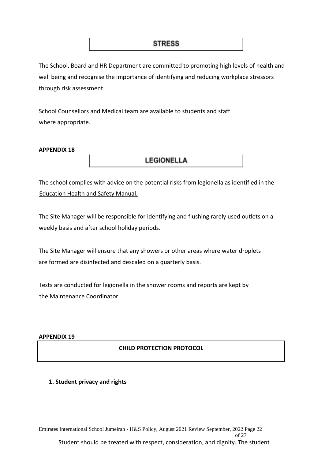The School, Board and HR Department are committed to promoting high levels of health and well being and recognise the importance of identifying and reducing workplace stressors through risk assessment.

School Counsellors and Medical team are available to students and staff where appropriate.

### **APPENDIX 18**

# **LEGIONELLA**

The school complies with advice on the potential risks from legionella as identified in the Education Health and Safety Manual.

The Site Manager will be responsible for identifying and flushing rarely used outlets on a weekly basis and after school holiday periods.

The Site Manager will ensure that any showers or other areas where water droplets are formed are disinfected and descaled on a quarterly basis.

Tests are conducted for legionella in the shower rooms and reports are kept by the Maintenance Coordinator.

### **APPENDIX 19**

# **CHILD PROTECTION PROTOCOL**

# **1. Student privacy and rights**

Emirates International School Jumeirah - H&S Policy, August 2021 Review September, 2022 Page 22 of 27 Student should be treated with respect, consideration, and dignity. The student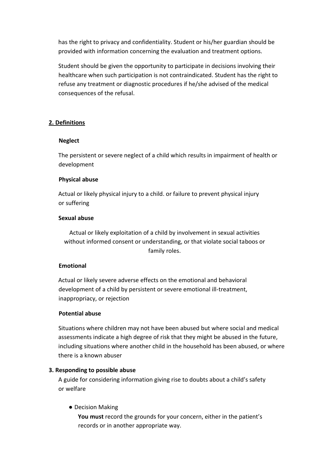has the right to privacy and confidentiality. Student or his/her guardian should be provided with information concerning the evaluation and treatment options.

Student should be given the opportunity to participate in decisions involving their healthcare when such participation is not contraindicated. Student has the right to refuse any treatment or diagnostic procedures if he/she advised of the medical consequences of the refusal.

### **2. Definitions**

#### **Neglect**

The persistent or severe neglect of a child which results in impairment of health or development

### **Physical abuse**

Actual or likely physical injury to a child. or failure to prevent physical injury or suffering

#### **Sexual abuse**

Actual or likely exploitation of a child by involvement in sexual activities without informed consent or understanding, or that violate social taboos or family roles.

### **Emotional**

Actual or likely severe adverse effects on the emotional and behavioral development of a child by persistent or severe emotional ill-treatment, inappropriacy, or rejection

#### **Potential abuse**

Situations where children may not have been abused but where social and medical assessments indicate a high degree of risk that they might be abused in the future, including situations where another child in the household has been abused, or where there is a known abuser

### **3. Responding to possible abuse**

A guide for considering information giving rise to doubts about a child's safety or welfare

### ● Decision Making

**You must** record the grounds for your concern, either in the patient's records or in another appropriate way.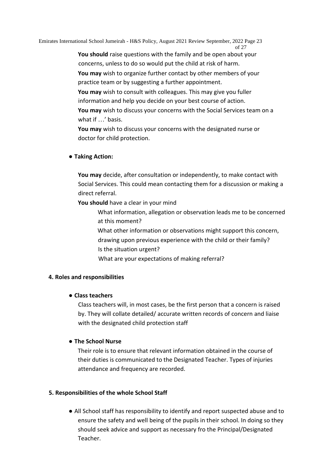of 27 **You should** raise questions with the family and be open about your concerns, unless to do so would put the child at risk of harm.

**You may** wish to organize further contact by other members of your practice team or by suggesting a further appointment.

**You may** wish to consult with colleagues. This may give you fuller information and help you decide on your best course of action. **You may** wish to discuss your concerns with the Social Services team on a what if …' basis.

**You may** wish to discuss your concerns with the designated nurse or doctor for child protection.

# **● Taking Action:**

**You may** decide, after consultation or independently, to make contact with Social Services. This could mean contacting them for a discussion or making a direct referral.

**You should** have a clear in your mind

What information, allegation or observation leads me to be concerned at this moment?

What other information or observations might support this concern, drawing upon previous experience with the child or their family? Is the situation urgent?

What are your expectations of making referral?

# **4. Roles and responsibilities**

# **● Class teachers**

Class teachers will, in most cases, be the first person that a concern is raised by. They will collate detailed/ accurate written records of concern and liaise with the designated child protection staff

# **● The School Nurse**

Their role is to ensure that relevant information obtained in the course of their duties is communicated to the Designated Teacher. Types of injuries attendance and frequency are recorded.

# **5. Responsibilities of the whole School Staff**

● All School staff has responsibility to identify and report suspected abuse and to ensure the safety and well being of the pupils in their school. In doing so they should seek advice and support as necessary fro the Principal/Designated Teacher.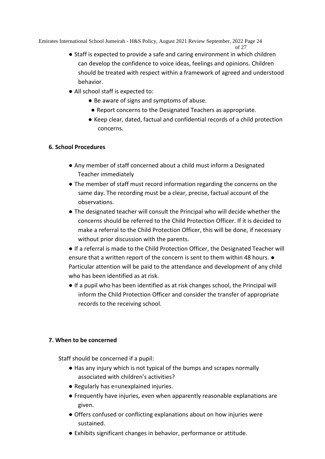```
of 27
```
- Staff is expected to provide a safe and caring environment in which children can develop the confidence to voice ideas, feelings and opinions. Children should be treated with respect within a framework of agreed and understood behavior.
- All school staff is expected to:
	- Be aware of signs and symptoms of abuse.
	- Report concerns to the Designated Teachers as appropriate.
	- Keep clear, dated, factual and confidential records of a child protection concerns.

# **6. School Procedures**

- Any member of staff concerned about a child must inform a Designated Teacher immediately
- The member of staff must record information regarding the concerns on the same day. The recording must be a clear, precise, factual account of the observations.
- The designated teacher will consult the Principal who will decide whether the concerns should be referred to the Child Protection Officer. If it is decided to make a referral to the Child Protection Officer, this will be done, if necessary without prior discussion with the parents.
- If a referral is made to the Child Protection Officer, the Designated Teacher will ensure that a written report of the concern is sent to them within 48 hours. ● Particular attention will be paid to the attendance and development of any child who has been identified as at risk.
- If a pupil who has been identified as at risk changes school, the Principal will inform the Child Protection Officer and consider the transfer of appropriate records to the receiving school.

# **7. When to be concerned**

Staff should be concerned if a pupil:

- Has any injury which is not typical of the bumps and scrapes normally associated with children's activities?
- Regularly has e=unexplained injuries.
- Frequently have injuries, even when apparently reasonable explanations are given.
- Offers confused or conflicting explanations about on how injuries were sustained.
- Exhibits significant changes in behavior, performance or attitude.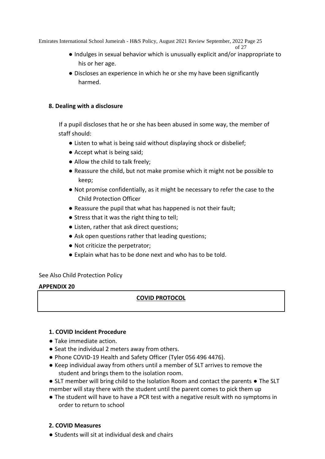```
of 27
```
- Indulges in sexual behavior which is unusually explicit and/or inappropriate to his or her age.
- Discloses an experience in which he or she my have been significantly harmed.

# **8. Dealing with a disclosure**

If a pupil discloses that he or she has been abused in some way, the member of staff should:

- Listen to what is being said without displaying shock or disbelief;
- Accept what is being said;
- Allow the child to talk freely;
- Reassure the child, but not make promise which it might not be possible to keep;
- Not promise confidentially, as it might be necessary to refer the case to the Child Protection Officer
- Reassure the pupil that what has happened is not their fault;
- Stress that it was the right thing to tell;
- Listen, rather that ask direct questions;
- Ask open questions rather that leading questions;
- Not criticize the perpetrator;
- Explain what has to be done next and who has to be told.

# See Also Child Protection Policy

# **APPENDIX 20**

# **COVID PROTOCOL**

# **1. COVID Incident Procedure**

- Take immediate action.
- Seat the individual 2 meters away from others.
- Phone COVID-19 Health and Safety Officer (Tyler 056 496 4476).
- Keep individual away from others until a member of SLT arrives to remove the student and brings them to the isolation room.
- SLT member will bring child to the Isolation Room and contact the parents The SLT member will stay there with the student until the parent comes to pick them up
- The student will have to have a PCR test with a negative result with no symptoms in order to return to school

# **2. COVID Measures**

**●** Students will sit at individual desk and chairs